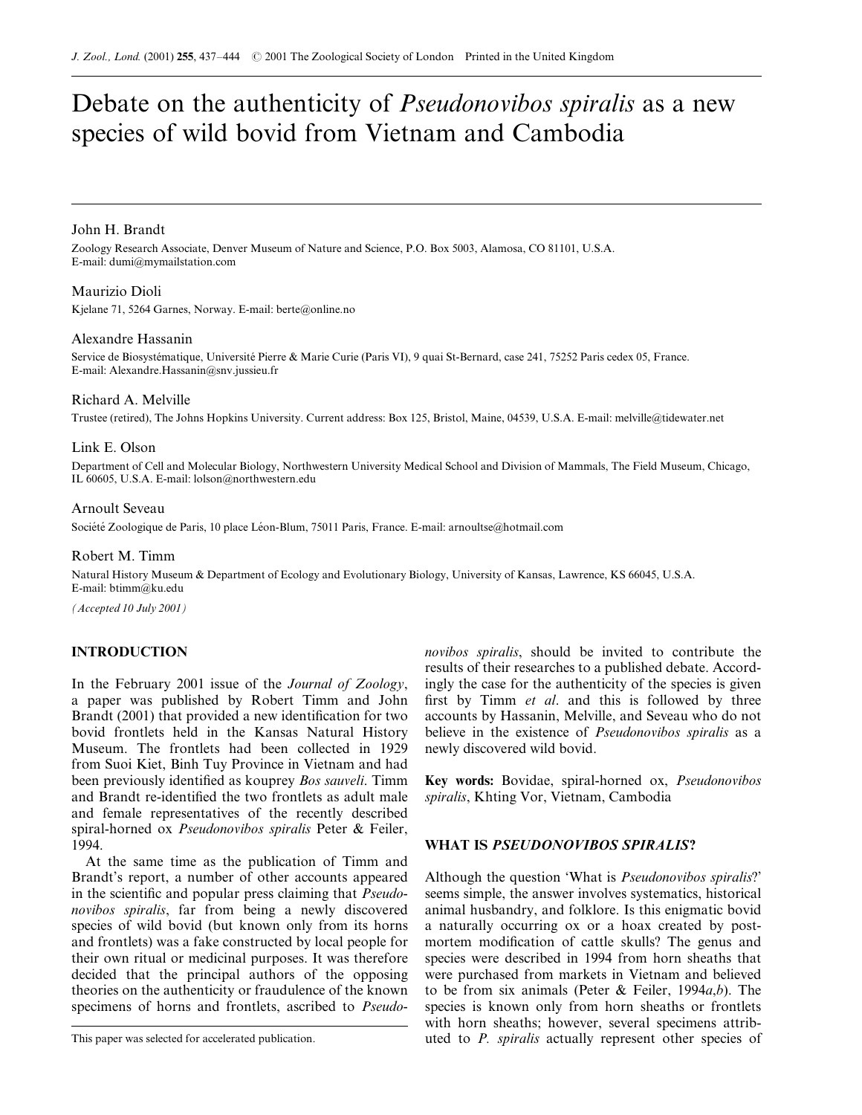# Debate on the authenticity of *Pseudonovibos spiralis* as a new species of wild bovid from Vietnam and Cambodia

# John H. Brandt

Zoology Research Associate, Denver Museum of Nature and Science, P.O. Box 5003, Alamosa, CO 81101, U.S.A. E-mail: dumi@mymailstation.com

## Maurizio Dioli

Kjelane 71, 5264 Garnes, Norway. E-mail: berte@online.no

## Alexandre Hassanin

Service de Biosystématique, Université Pierre & Marie Curie (Paris VI), 9 quai St-Bernard, case 241, 75252 Paris cedex 05, France. E-mail: Alexandre.Hassanin@snv.jussieu.fr

## Richard A. Melville

Trustee (retired), The Johns Hopkins University. Current address: Box 125, Bristol, Maine, 04539, U.S.A. E-mail: melville@tidewater.net

## Link E. Olson

Department of Cell and Molecular Biology, Northwestern University Medical School and Division of Mammals, The Field Museum, Chicago, IL 60605, U.S.A. E-mail: lolson@northwestern.edu

## Arnoult Seveau

Société Zoologique de Paris, 10 place Léon-Blum, 75011 Paris, France. E-mail: arnoultse@hotmail.com

#### Robert M. Timm

Natural History Museum & Department of Ecology and Evolutionary Biology, University of Kansas, Lawrence, KS 66045, U.S.A. E-mail: btimm@ku.edu

(Accepted 10 July 2001)

# INTRODUCTION

In the February 2001 issue of the Journal of Zoology, a paper was published by Robert Timm and John Brandt (2001) that provided a new identification for two bovid frontlets held in the Kansas Natural History Museum. The frontlets had been collected in 1929 from Suoi Kiet, Binh Tuy Province in Vietnam and had been previously identified as kouprey Bos sauveli. Timm and Brandt re-identified the two frontlets as adult male and female representatives of the recently described spiral-horned ox Pseudonovibos spiralis Peter & Feiler, 1994.

At the same time as the publication of Timm and Brandt's report, a number of other accounts appeared in the scientific and popular press claiming that Pseudonovibos spiralis, far from being a newly discovered species of wild bovid (but known only from its horns and frontlets) was a fake constructed by local people for their own ritual or medicinal purposes. It was therefore decided that the principal authors of the opposing theories on the authenticity or fraudulence of the known specimens of horns and frontlets, ascribed to Pseudo-

This paper was selected for accelerated publication.

novibos spiralis, should be invited to contribute the results of their researches to a published debate. Accordingly the case for the authenticity of the species is given first by Timm et al. and this is followed by three accounts by Hassanin, Melville, and Seveau who do not believe in the existence of *Pseudonovibos spiralis* as a newly discovered wild bovid.

Key words: Bovidae, spiral-horned ox, Pseudonovibos spiralis, Khting Vor, Vietnam, Cambodia

# WHAT IS PSEUDONOVIBOS SPIRALIS?

Although the question 'What is *Pseudonovibos spiralis*?' seems simple, the answer involves systematics, historical animal husbandry, and folklore. Is this enigmatic bovid a naturally occurring ox or a hoax created by postmortem modification of cattle skulls? The genus and species were described in 1994 from horn sheaths that were purchased from markets in Vietnam and believed to be from six animals (Peter & Feiler, 1994 $a,b$ ). The species is known only from horn sheaths or frontlets with horn sheaths; however, several specimens attributed to P. spiralis actually represent other species of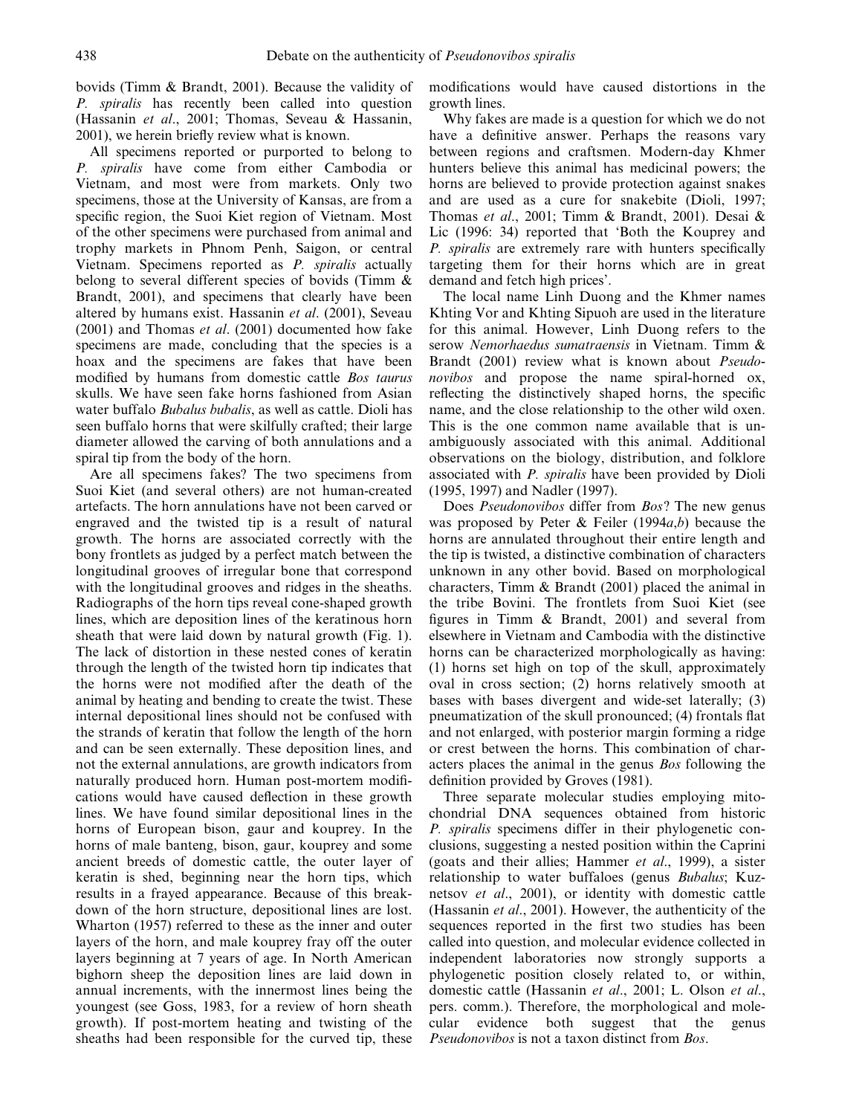bovids (Timm & Brandt, 2001). Because the validity of P. spiralis has recently been called into question (Hassanin et al., 2001; Thomas, Seveau & Hassanin, 2001), we herein briefly review what is known.

All specimens reported or purported to belong to P. spiralis have come from either Cambodia or Vietnam, and most were from markets. Only two specimens, those at the University of Kansas, are from a specific region, the Suoi Kiet region of Vietnam. Most of the other specimens were purchased from animal and trophy markets in Phnom Penh, Saigon, or central Vietnam. Specimens reported as P. spiralis actually belong to several different species of bovids (Timm & Brandt, 2001), and specimens that clearly have been altered by humans exist. Hassanin et al. (2001), Seveau  $(2001)$  and Thomas *et al.*  $(2001)$  documented how fake specimens are made, concluding that the species is a hoax and the specimens are fakes that have been modified by humans from domestic cattle Bos taurus skulls. We have seen fake horns fashioned from Asian water buffalo Bubalus bubalis, as well as cattle. Dioli has seen buffalo horns that were skilfully crafted; their large diameter allowed the carving of both annulations and a spiral tip from the body of the horn.

Are all specimens fakes? The two specimens from Suoi Kiet (and several others) are not human-created artefacts. The horn annulations have not been carved or engraved and the twisted tip is a result of natural growth. The horns are associated correctly with the bony frontlets as judged by a perfect match between the longitudinal grooves of irregular bone that correspond with the longitudinal grooves and ridges in the sheaths. Radiographs of the horn tips reveal cone-shaped growth lines, which are deposition lines of the keratinous horn sheath that were laid down by natural growth (Fig. 1). The lack of distortion in these nested cones of keratin through the length of the twisted horn tip indicates that the horns were not modified after the death of the animal by heating and bending to create the twist. These internal depositional lines should not be confused with the strands of keratin that follow the length of the horn and can be seen externally. These deposition lines, and not the external annulations, are growth indicators from naturally produced horn. Human post-mortem modifications would have caused deflection in these growth lines. We have found similar depositional lines in the horns of European bison, gaur and kouprey. In the horns of male banteng, bison, gaur, kouprey and some ancient breeds of domestic cattle, the outer layer of keratin is shed, beginning near the horn tips, which results in a frayed appearance. Because of this breakdown of the horn structure, depositional lines are lost. Wharton (1957) referred to these as the inner and outer layers of the horn, and male kouprey fray off the outer layers beginning at 7 years of age. In North American bighorn sheep the deposition lines are laid down in annual increments, with the innermost lines being the youngest (see Goss, 1983, for a review of horn sheath growth). If post-mortem heating and twisting of the sheaths had been responsible for the curved tip, these modifications would have caused distortions in the growth lines.

Why fakes are made is a question for which we do not have a definitive answer. Perhaps the reasons vary between regions and craftsmen. Modern-day Khmer hunters believe this animal has medicinal powers; the horns are believed to provide protection against snakes and are used as a cure for snakebite (Dioli, 1997; Thomas et al., 2001; Timm & Brandt, 2001). Desai & Lic (1996: 34) reported that `Both the Kouprey and P. spiralis are extremely rare with hunters specifically targeting them for their horns which are in great demand and fetch high prices'.

The local name Linh Duong and the Khmer names Khting Vor and Khting Sipuoh are used in the literature for this animal. However, Linh Duong refers to the serow Nemorhaedus sumatraensis in Vietnam. Timm & Brandt (2001) review what is known about *Pseudo*novibos and propose the name spiral-horned ox, reflecting the distinctively shaped horns, the specific name, and the close relationship to the other wild oxen. This is the one common name available that is unambiguously associated with this animal. Additional observations on the biology, distribution, and folklore associated with P. spiralis have been provided by Dioli (1995, 1997) and Nadler (1997).

Does Pseudonovibos differ from Bos? The new genus was proposed by Peter & Feiler  $(1994a,b)$  because the horns are annulated throughout their entire length and the tip is twisted, a distinctive combination of characters unknown in any other bovid. Based on morphological characters, Timm & Brandt (2001) placed the animal in the tribe Bovini. The frontlets from Suoi Kiet (see figures in Timm  $\&$  Brandt, 2001) and several from elsewhere in Vietnam and Cambodia with the distinctive horns can be characterized morphologically as having: (1) horns set high on top of the skull, approximately oval in cross section; (2) horns relatively smooth at bases with bases divergent and wide-set laterally; (3) pneumatization of the skull pronounced; (4) frontals flat and not enlarged, with posterior margin forming a ridge or crest between the horns. This combination of characters places the animal in the genus Bos following the definition provided by Groves (1981).

Three separate molecular studies employing mitochondrial DNA sequences obtained from historic P. spiralis specimens differ in their phylogenetic conclusions, suggesting a nested position within the Caprini (goats and their allies; Hammer et al., 1999), a sister relationship to water buffaloes (genus Bubalus; Kuznetsov et al., 2001), or identity with domestic cattle (Hassanin et al., 2001). However, the authenticity of the sequences reported in the first two studies has been called into question, and molecular evidence collected in independent laboratories now strongly supports a phylogenetic position closely related to, or within, domestic cattle (Hassanin et al., 2001; L. Olson et al., pers. comm.). Therefore, the morphological and molecular evidence both suggest that the genus Pseudonovibos is not a taxon distinct from Bos.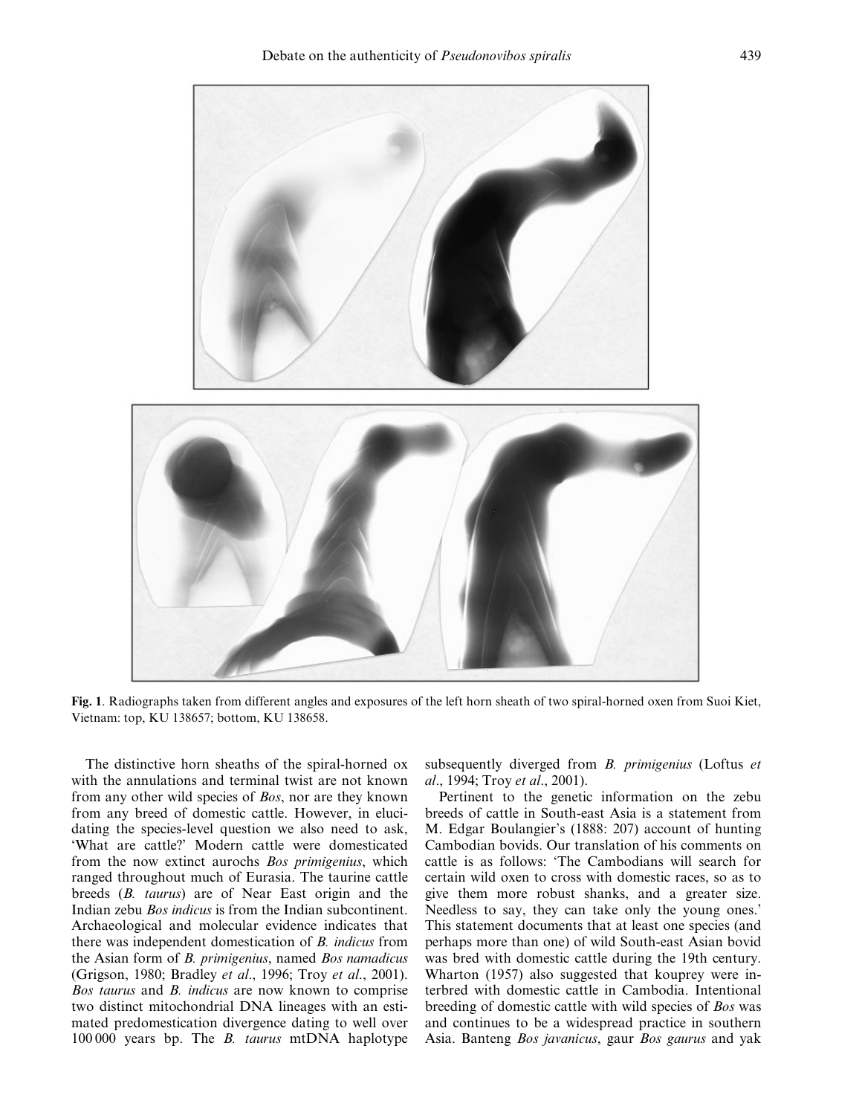

Fig. 1. Radiographs taken from different angles and exposures of the left horn sheath of two spiral-horned oxen from Suoi Kiet, Vietnam: top, KU 138657; bottom, KU 138658.

The distinctive horn sheaths of the spiral-horned ox with the annulations and terminal twist are not known from any other wild species of Bos, nor are they known from any breed of domestic cattle. However, in elucidating the species-level question we also need to ask, `What are cattle?' Modern cattle were domesticated from the now extinct aurochs Bos primigenius, which ranged throughout much of Eurasia. The taurine cattle breeds (B. taurus) are of Near East origin and the Indian zebu Bos indicus is from the Indian subcontinent. Archaeological and molecular evidence indicates that there was independent domestication of B. indicus from the Asian form of B. primigenius, named Bos namadicus (Grigson, 1980; Bradley et al., 1996; Troy et al., 2001). Bos taurus and B. indicus are now known to comprise two distinct mitochondrial DNA lineages with an estimated predomestication divergence dating to well over 100 000 years bp. The B. taurus mtDNA haplotype subsequently diverged from *B. primigenius* (Loftus et al., 1994; Troy et al., 2001).

Pertinent to the genetic information on the zebu breeds of cattle in South-east Asia is a statement from M. Edgar Boulangier's (1888: 207) account of hunting Cambodian bovids. Our translation of his comments on cattle is as follows: 'The Cambodians will search for certain wild oxen to cross with domestic races, so as to give them more robust shanks, and a greater size. Needless to say, they can take only the young ones.' This statement documents that at least one species (and perhaps more than one) of wild South-east Asian bovid was bred with domestic cattle during the 19th century. Wharton (1957) also suggested that kouprey were interbred with domestic cattle in Cambodia. Intentional breeding of domestic cattle with wild species of Bos was and continues to be a widespread practice in southern Asia. Banteng Bos javanicus, gaur Bos gaurus and yak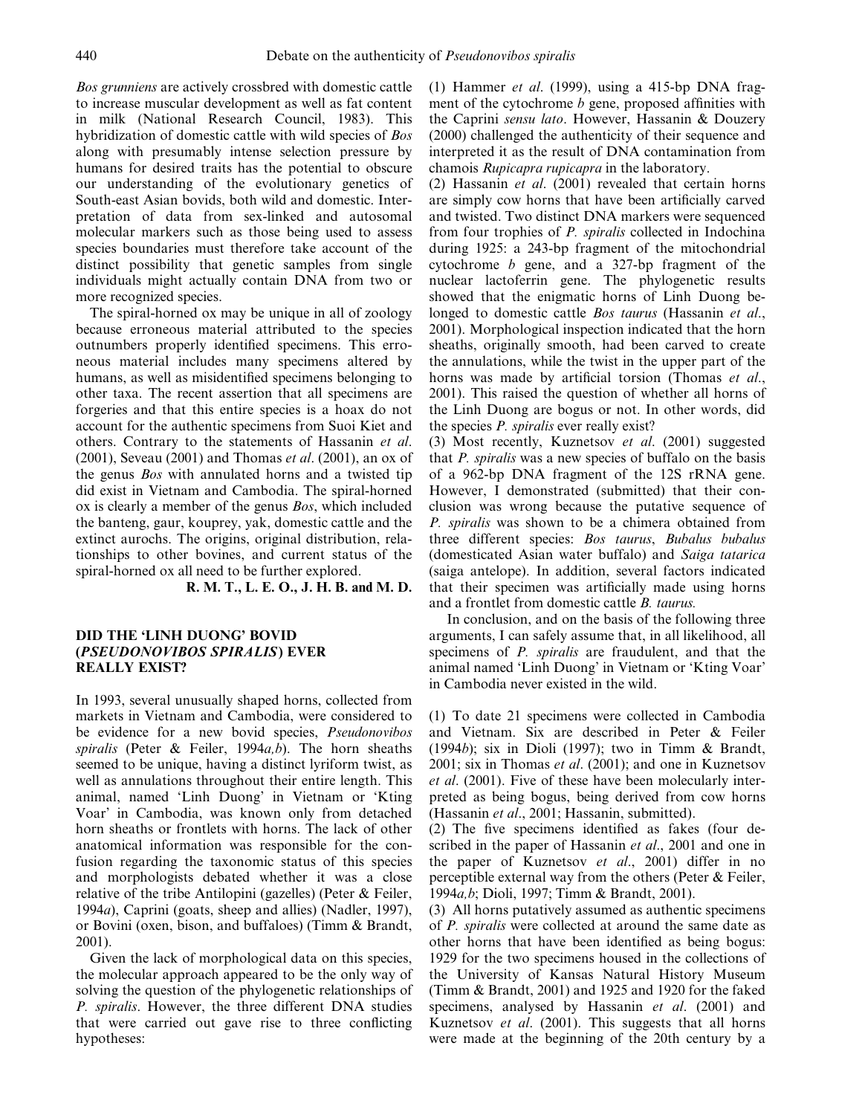Bos grunniens are actively crossbred with domestic cattle to increase muscular development as well as fat content in milk (National Research Council, 1983). This hybridization of domestic cattle with wild species of Bos along with presumably intense selection pressure by humans for desired traits has the potential to obscure our understanding of the evolutionary genetics of South-east Asian bovids, both wild and domestic. Interpretation of data from sex-linked and autosomal molecular markers such as those being used to assess species boundaries must therefore take account of the distinct possibility that genetic samples from single individuals might actually contain DNA from two or more recognized species.

The spiral-horned ox may be unique in all of zoology because erroneous material attributed to the species outnumbers properly identified specimens. This erroneous material includes many specimens altered by humans, as well as misidentified specimens belonging to other taxa. The recent assertion that all specimens are forgeries and that this entire species is a hoax do not account for the authentic specimens from Suoi Kiet and others. Contrary to the statements of Hassanin et al. (2001), Seveau (2001) and Thomas et al. (2001), an ox of the genus Bos with annulated horns and a twisted tip did exist in Vietnam and Cambodia. The spiral-horned ox is clearly a member of the genus Bos, which included the banteng, gaur, kouprey, yak, domestic cattle and the extinct aurochs. The origins, original distribution, relationships to other bovines, and current status of the spiral-horned ox all need to be further explored.

R. M. T., L. E. O., J. H. B. and M. D.

# DID THE `LINH DUONG' BOVID (PSEUDONOVIBOS SPIRALIS) EVER REALLY EXIST?

In 1993, several unusually shaped horns, collected from markets in Vietnam and Cambodia, were considered to be evidence for a new bovid species, Pseudonovibos spiralis (Peter & Feiler, 1994 $a,b$ ). The horn sheaths seemed to be unique, having a distinct lyriform twist, as well as annulations throughout their entire length. This animal, named `Linh Duong' in Vietnam or `Kting Voar' in Cambodia, was known only from detached horn sheaths or frontlets with horns. The lack of other anatomical information was responsible for the confusion regarding the taxonomic status of this species and morphologists debated whether it was a close relative of the tribe Antilopini (gazelles) (Peter & Feiler, 1994a), Caprini (goats, sheep and allies) (Nadler, 1997), or Bovini (oxen, bison, and buffaloes) (Timm & Brandt, 2001).

Given the lack of morphological data on this species, the molecular approach appeared to be the only way of solving the question of the phylogenetic relationships of P. spiralis. However, the three different DNA studies that were carried out gave rise to three conflicting hypotheses:

(1) Hammer et al. (1999), using a 415-bp DNA fragment of the cytochrome  $b$  gene, proposed affinities with the Caprini sensu lato. However, Hassanin & Douzery (2000) challenged the authenticity of their sequence and interpreted it as the result of DNA contamination from chamois Rupicapra rupicapra in the laboratory.

(2) Hassanin et al. (2001) revealed that certain horns are simply cow horns that have been artificially carved and twisted. Two distinct DNA markers were sequenced from four trophies of P. spiralis collected in Indochina during 1925: a 243-bp fragment of the mitochondrial cytochrome b gene, and a 327-bp fragment of the nuclear lactoferrin gene. The phylogenetic results showed that the enigmatic horns of Linh Duong belonged to domestic cattle *Bos taurus* (Hassanin et al., 2001). Morphological inspection indicated that the horn sheaths, originally smooth, had been carved to create the annulations, while the twist in the upper part of the horns was made by artificial torsion (Thomas et al., 2001). This raised the question of whether all horns of the Linh Duong are bogus or not. In other words, did the species P. spiralis ever really exist?

(3) Most recently, Kuznetsov et al. (2001) suggested that P. spiralis was a new species of buffalo on the basis of a 962-bp DNA fragment of the 12S rRNA gene. However, I demonstrated (submitted) that their conclusion was wrong because the putative sequence of P. spiralis was shown to be a chimera obtained from three different species: Bos taurus, Bubalus bubalus (domesticated Asian water buffalo) and Saiga tatarica (saiga antelope). In addition, several factors indicated that their specimen was artificially made using horns and a frontlet from domestic cattle B. taurus.

In conclusion, and on the basis of the following three arguments, I can safely assume that, in all likelihood, all specimens of P. spiralis are fraudulent, and that the animal named `Linh Duong' in Vietnam or `Kting Voar' in Cambodia never existed in the wild.

(1) To date 21 specimens were collected in Cambodia and Vietnam. Six are described in Peter & Feiler (1994b); six in Dioli (1997); two in Timm & Brandt, 2001; six in Thomas et al. (2001); and one in Kuznetsov et al. (2001). Five of these have been molecularly interpreted as being bogus, being derived from cow horns (Hassanin et al., 2001; Hassanin, submitted).

 $(2)$  The five specimens identified as fakes (four described in the paper of Hassanin et al., 2001 and one in the paper of Kuznetsov et al., 2001) differ in no perceptible external way from the others (Peter & Feiler, 1994a,b; Dioli, 1997; Timm & Brandt, 2001).

(3) All horns putatively assumed as authentic specimens of P. spiralis were collected at around the same date as other horns that have been identified as being bogus: 1929 for the two specimens housed in the collections of the University of Kansas Natural History Museum (Timm & Brandt, 2001) and 1925 and 1920 for the faked specimens, analysed by Hassanin *et al.* (2001) and Kuznetsov et al. (2001). This suggests that all horns were made at the beginning of the 20th century by a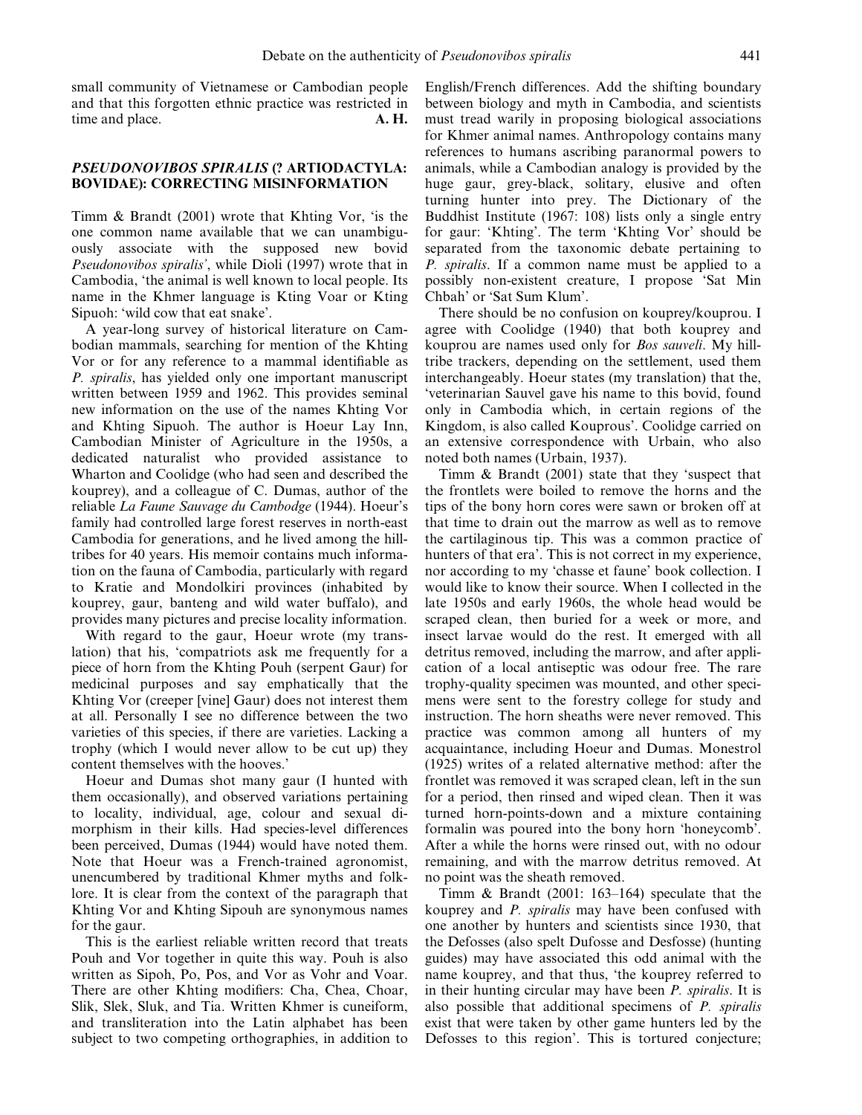small community of Vietnamese or Cambodian people and that this forgotten ethnic practice was restricted in time and place. A. H.

# PSEUDONOVIBOS SPIRALIS (? ARTIODACTYLA: BOVIDAE): CORRECTING MISINFORMATION

Timm  $\&$  Brandt (2001) wrote that Khting Vor, 'is the one common name available that we can unambiguously associate with the supposed new bovid Pseudonovibos spiralis', while Dioli (1997) wrote that in Cambodia, `the animal is well known to local people. Its name in the Khmer language is Kting Voar or Kting Sipuoh: 'wild cow that eat snake'.

A year-long survey of historical literature on Cambodian mammals, searching for mention of the Khting Vor or for any reference to a mammal identifiable as P. spiralis, has yielded only one important manuscript written between 1959 and 1962. This provides seminal new information on the use of the names Khting Vor and Khting Sipuoh. The author is Hoeur Lay Inn, Cambodian Minister of Agriculture in the 1950s, a dedicated naturalist who provided assistance to Wharton and Coolidge (who had seen and described the kouprey), and a colleague of C. Dumas, author of the reliable La Faune Sauvage du Cambodge (1944). Hoeur's family had controlled large forest reserves in north-east Cambodia for generations, and he lived among the hilltribes for 40 years. His memoir contains much information on the fauna of Cambodia, particularly with regard to Kratie and Mondolkiri provinces (inhabited by kouprey, gaur, banteng and wild water buffalo), and provides many pictures and precise locality information.

With regard to the gaur, Hoeur wrote (my translation) that his, `compatriots ask me frequently for a piece of horn from the Khting Pouh (serpent Gaur) for medicinal purposes and say emphatically that the Khting Vor (creeper [vine] Gaur) does not interest them at all. Personally I see no difference between the two varieties of this species, if there are varieties. Lacking a trophy (which I would never allow to be cut up) they content themselves with the hooves.'

Hoeur and Dumas shot many gaur (I hunted with them occasionally), and observed variations pertaining to locality, individual, age, colour and sexual dimorphism in their kills. Had species-level differences been perceived, Dumas (1944) would have noted them. Note that Hoeur was a French-trained agronomist, unencumbered by traditional Khmer myths and folklore. It is clear from the context of the paragraph that Khting Vor and Khting Sipouh are synonymous names for the gaur.

This is the earliest reliable written record that treats Pouh and Vor together in quite this way. Pouh is also written as Sipoh, Po, Pos, and Vor as Vohr and Voar. There are other Khting modifiers: Cha, Chea, Choar, Slik, Slek, Sluk, and Tia. Written Khmer is cuneiform, and transliteration into the Latin alphabet has been subject to two competing orthographies, in addition to

English/French differences. Add the shifting boundary between biology and myth in Cambodia, and scientists must tread warily in proposing biological associations for Khmer animal names. Anthropology contains many references to humans ascribing paranormal powers to animals, while a Cambodian analogy is provided by the huge gaur, grey-black, solitary, elusive and often turning hunter into prey. The Dictionary of the Buddhist Institute (1967: 108) lists only a single entry for gaur: `Khting'. The term `Khting Vor' should be separated from the taxonomic debate pertaining to P. spiralis. If a common name must be applied to a possibly non-existent creature, I propose `Sat Min Chbah' or `Sat Sum Klum'.

There should be no confusion on kouprey/kouprou. I agree with Coolidge (1940) that both kouprey and kouprou are names used only for Bos sauveli. My hilltribe trackers, depending on the settlement, used them interchangeably. Hoeur states (my translation) that the, `veterinarian Sauvel gave his name to this bovid, found only in Cambodia which, in certain regions of the Kingdom, is also called Kouprous'. Coolidge carried on an extensive correspondence with Urbain, who also noted both names (Urbain, 1937).

Timm & Brandt (2001) state that they `suspect that the frontlets were boiled to remove the horns and the tips of the bony horn cores were sawn or broken off at that time to drain out the marrow as well as to remove the cartilaginous tip. This was a common practice of hunters of that era'. This is not correct in my experience, nor according to my `chasse et faune' book collection. I would like to know their source. When I collected in the late 1950s and early 1960s, the whole head would be scraped clean, then buried for a week or more, and insect larvae would do the rest. It emerged with all detritus removed, including the marrow, and after application of a local antiseptic was odour free. The rare trophy-quality specimen was mounted, and other specimens were sent to the forestry college for study and instruction. The horn sheaths were never removed. This practice was common among all hunters of my acquaintance, including Hoeur and Dumas. Monestrol (1925) writes of a related alternative method: after the frontlet was removed it was scraped clean, left in the sun for a period, then rinsed and wiped clean. Then it was turned horn-points-down and a mixture containing formalin was poured into the bony horn `honeycomb'. After a while the horns were rinsed out, with no odour remaining, and with the marrow detritus removed. At no point was the sheath removed.

Timm & Brandt (2001: 163–164) speculate that the kouprey and P. spiralis may have been confused with one another by hunters and scientists since 1930, that the Defosses (also spelt Dufosse and Desfosse) (hunting guides) may have associated this odd animal with the name kouprey, and that thus, 'the kouprey referred to in their hunting circular may have been P. spiralis. It is also possible that additional specimens of P. spiralis exist that were taken by other game hunters led by the Defosses to this region'. This is tortured conjecture;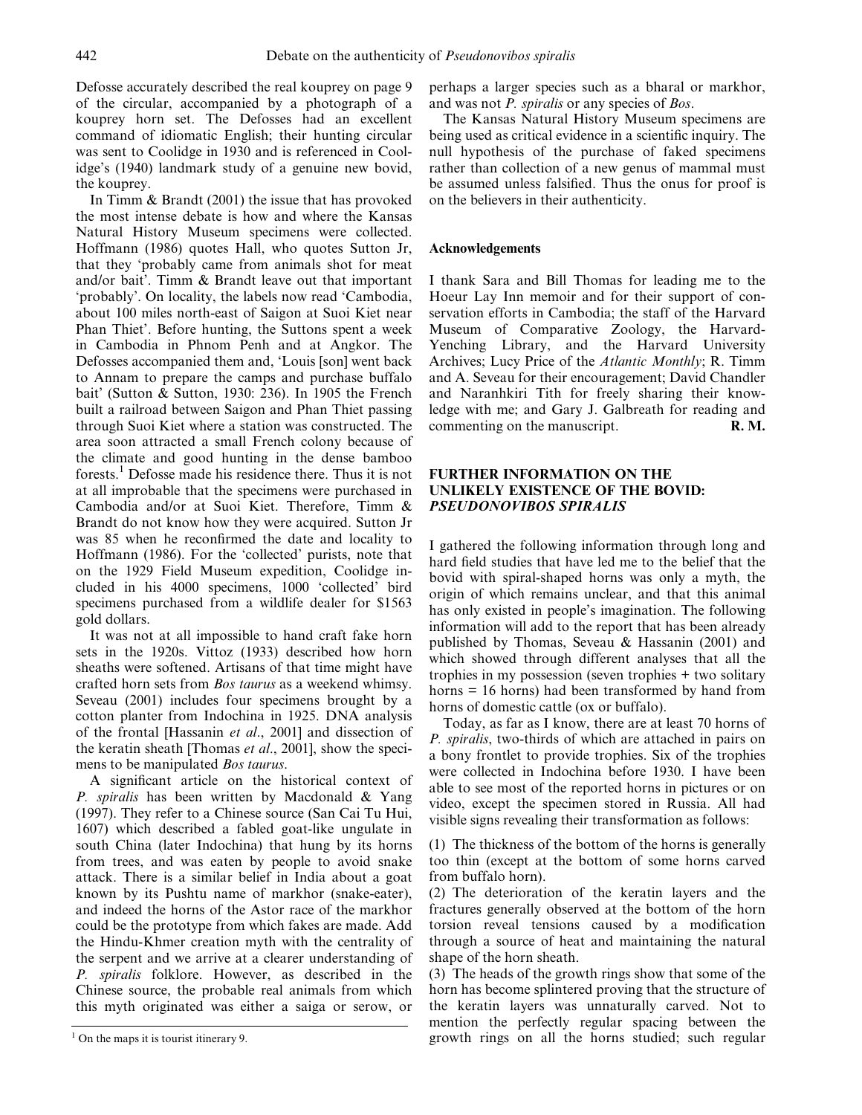Defosse accurately described the real kouprey on page 9 of the circular, accompanied by a photograph of a kouprey horn set. The Defosses had an excellent command of idiomatic English; their hunting circular was sent to Coolidge in 1930 and is referenced in Coolidge's (1940) landmark study of a genuine new bovid, the kouprey.

In Timm & Brandt (2001) the issue that has provoked the most intense debate is how and where the Kansas Natural History Museum specimens were collected. Hoffmann (1986) quotes Hall, who quotes Sutton Jr, that they `probably came from animals shot for meat and/or bait'. Timm & Brandt leave out that important `probably'. On locality, the labels now read `Cambodia, about 100 miles north-east of Saigon at Suoi Kiet near Phan Thiet'. Before hunting, the Suttons spent a week in Cambodia in Phnom Penh and at Angkor. The Defosses accompanied them and, `Louis [son] went back to Annam to prepare the camps and purchase buffalo bait' (Sutton & Sutton, 1930: 236). In 1905 the French built a railroad between Saigon and Phan Thiet passing through Suoi Kiet where a station was constructed. The area soon attracted a small French colony because of the climate and good hunting in the dense bamboo forests.<sup>1</sup> Defosse made his residence there. Thus it is not at all improbable that the specimens were purchased in Cambodia and/or at Suoi Kiet. Therefore, Timm & Brandt do not know how they were acquired. Sutton Jr was 85 when he reconfirmed the date and locality to Hoffmann (1986). For the `collected' purists, note that on the 1929 Field Museum expedition, Coolidge included in his 4000 specimens, 1000 `collected' bird specimens purchased from a wildlife dealer for \$1563 gold dollars.

It was not at all impossible to hand craft fake horn sets in the 1920s. Vittoz (1933) described how horn sheaths were softened. Artisans of that time might have crafted horn sets from Bos taurus as a weekend whimsy. Seveau (2001) includes four specimens brought by a cotton planter from Indochina in 1925. DNA analysis of the frontal [Hassanin et al., 2001] and dissection of the keratin sheath [Thomas et al., 2001], show the specimens to be manipulated *Bos taurus*.

A significant article on the historical context of P. spiralis has been written by Macdonald & Yang (1997). They refer to a Chinese source (San Cai Tu Hui, 1607) which described a fabled goat-like ungulate in south China (later Indochina) that hung by its horns from trees, and was eaten by people to avoid snake attack. There is a similar belief in India about a goat known by its Pushtu name of markhor (snake-eater), and indeed the horns of the Astor race of the markhor could be the prototype from which fakes are made. Add the Hindu-Khmer creation myth with the centrality of the serpent and we arrive at a clearer understanding of P. spiralis folklore. However, as described in the Chinese source, the probable real animals from which this myth originated was either a saiga or serow, or

perhaps a larger species such as a bharal or markhor, and was not P. spiralis or any species of Bos.

The Kansas Natural History Museum specimens are being used as critical evidence in a scientific inquiry. The null hypothesis of the purchase of faked specimens rather than collection of a new genus of mammal must be assumed unless falsified. Thus the onus for proof is on the believers in their authenticity.

## Acknowledgements

I thank Sara and Bill Thomas for leading me to the Hoeur Lay Inn memoir and for their support of conservation efforts in Cambodia; the staff of the Harvard Museum of Comparative Zoology, the Harvard-Yenching Library, and the Harvard University Archives; Lucy Price of the Atlantic Monthly; R. Timm and A. Seveau for their encouragement; David Chandler and Naranhkiri Tith for freely sharing their knowledge with me; and Gary J. Galbreath for reading and commenting on the manuscript. **R. M.** 

# FURTHER INFORMATION ON THE UNLIKELY EXISTENCE OF THE BOVID: PSEUDONOVIBOS SPIRALIS

I gathered the following information through long and hard field studies that have led me to the belief that the bovid with spiral-shaped horns was only a myth, the origin of which remains unclear, and that this animal has only existed in people's imagination. The following information will add to the report that has been already published by Thomas, Seveau & Hassanin (2001) and which showed through different analyses that all the trophies in my possession (seven trophies + two solitary horns = 16 horns) had been transformed by hand from horns of domestic cattle (ox or buffalo).

Today, as far as I know, there are at least 70 horns of P. spiralis, two-thirds of which are attached in pairs on a bony frontlet to provide trophies. Six of the trophies were collected in Indochina before 1930. I have been able to see most of the reported horns in pictures or on video, except the specimen stored in Russia. All had visible signs revealing their transformation as follows:

(1) The thickness of the bottom of the horns is generally too thin (except at the bottom of some horns carved from buffalo horn).

(2) The deterioration of the keratin layers and the fractures generally observed at the bottom of the horn torsion reveal tensions caused by a modification through a source of heat and maintaining the natural shape of the horn sheath.

(3) The heads of the growth rings show that some of the horn has become splintered proving that the structure of the keratin layers was unnaturally carved. Not to mention the perfectly regular spacing between the growth rings on all the horns studied; such regular

 $<sup>1</sup>$  On the maps it is tourist itinerary 9.</sup>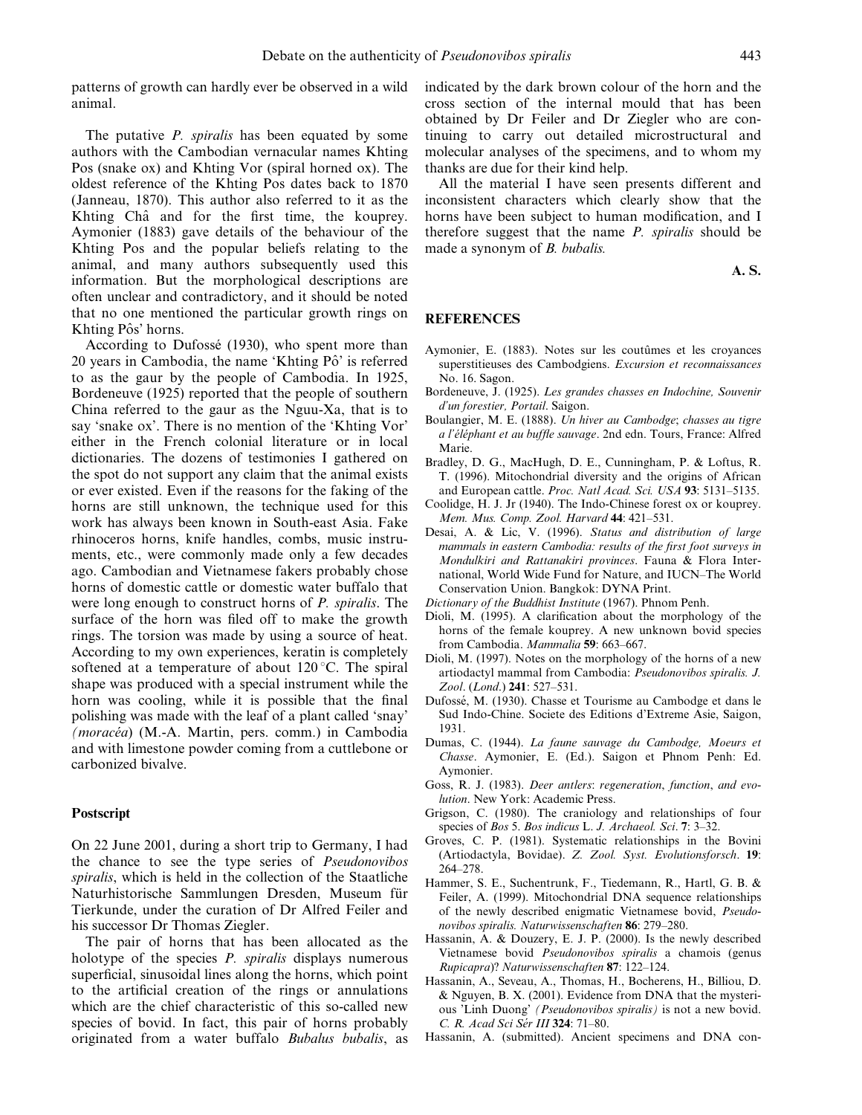patterns of growth can hardly ever be observed in a wild animal.

The putative *P. spiralis* has been equated by some authors with the Cambodian vernacular names Khting Pos (snake ox) and Khting Vor (spiral horned ox). The oldest reference of the Khting Pos dates back to 1870 (Janneau, 1870). This author also referred to it as the Khting Châ and for the first time, the kouprey. Aymonier (1883) gave details of the behaviour of the Khting Pos and the popular beliefs relating to the animal, and many authors subsequently used this information. But the morphological descriptions are often unclear and contradictory, and it should be noted that no one mentioned the particular growth rings on Khting Pôs' horns.

According to Dufossé (1930), who spent more than 20 years in Cambodia, the name 'Khting Pô' is referred to as the gaur by the people of Cambodia. In 1925, Bordeneuve (1925) reported that the people of southern China referred to the gaur as the Nguu-Xa, that is to say 'snake ox'. There is no mention of the 'Khting Vor' either in the French colonial literature or in local dictionaries. The dozens of testimonies I gathered on the spot do not support any claim that the animal exists or ever existed. Even if the reasons for the faking of the horns are still unknown, the technique used for this work has always been known in South-east Asia. Fake rhinoceros horns, knife handles, combs, music instruments, etc., were commonly made only a few decades ago. Cambodian and Vietnamese fakers probably chose horns of domestic cattle or domestic water buffalo that were long enough to construct horns of P. spiralis. The surface of the horn was filed off to make the growth rings. The torsion was made by using a source of heat. According to my own experiences, keratin is completely softened at a temperature of about  $120^{\circ}$ C. The spiral shape was produced with a special instrument while the horn was cooling, while it is possible that the final polishing was made with the leaf of a plant called `snay'  $(moracé a)$  (M.-A. Martin, pers. comm.) in Cambodia and with limestone powder coming from a cuttlebone or carbonized bivalve.

## Postscript

On 22 June 2001, during a short trip to Germany, I had the chance to see the type series of Pseudonovibos spiralis, which is held in the collection of the Staatliche Naturhistorische Sammlungen Dresden, Museum für Tierkunde, under the curation of Dr Alfred Feiler and his successor Dr Thomas Ziegler.

The pair of horns that has been allocated as the holotype of the species *P. spiralis* displays numerous superficial, sinusoidal lines along the horns, which point to the artificial creation of the rings or annulations which are the chief characteristic of this so-called new species of bovid. In fact, this pair of horns probably originated from a water buffalo Bubalus bubalis, as indicated by the dark brown colour of the horn and the cross section of the internal mould that has been obtained by Dr Feiler and Dr Ziegler who are continuing to carry out detailed microstructural and molecular analyses of the specimens, and to whom my thanks are due for their kind help.

All the material I have seen presents different and inconsistent characters which clearly show that the horns have been subject to human modification, and I therefore suggest that the name P. spiralis should be made a synonym of *B*. *bubalis*.

A. S.

#### REFERENCES

- Aymonier, E. (1883). Notes sur les coutûmes et les croyances superstitieuses des Cambodgiens. Excursion et reconnaissances No. 16. Sagon.
- Bordeneuve, J. (1925). Les grandes chasses en Indochine, Souvenir d'un forestier, Portail. Saigon.
- Boulangier, M. E. (1888). Un hiver au Cambodge; chasses au tigre a l'éléphant et au buffle sauvage. 2nd edn. Tours, France: Alfred Marie.
- Bradley, D. G., MacHugh, D. E., Cunningham, P. & Loftus, R. T. (1996). Mitochondrial diversity and the origins of African and European cattle. Proc. Natl Acad. Sci. USA 93: 5131-5135.
- Coolidge, H. J. Jr (1940). The Indo-Chinese forest ox or kouprey. Mem. Mus. Comp. Zool. Harvard 44: 421-531.
- Desai, A. & Lic, V. (1996). Status and distribution of large mammals in eastern Cambodia: results of the first foot surveys in Mondulkiri and Rattanakiri provinces. Fauna & Flora International, World Wide Fund for Nature, and IUCN-The World Conservation Union. Bangkok: DYNA Print.
- Dictionary of the Buddhist Institute (1967). Phnom Penh.
- Dioli, M. (1995). A clarification about the morphology of the horns of the female kouprey. A new unknown bovid species from Cambodia. Mammalia 59: 663-667.
- Dioli, M. (1997). Notes on the morphology of the horns of a new artiodactyl mammal from Cambodia: Pseudonovibos spiralis. J. Zool. (Lond.) 241: 527-531.
- Dufossé, M. (1930). Chasse et Tourisme au Cambodge et dans le Sud Indo-Chine. Societe des Editions d'Extreme Asie, Saigon, 1931.
- Dumas, C. (1944). La faune sauvage du Cambodge, Moeurs et Chasse. Aymonier, E. (Ed.). Saigon et Phnom Penh: Ed. Aymonier.
- Goss, R. J. (1983). Deer antlers: regeneration, function, and evolution. New York: Academic Press.
- Grigson, C. (1980). The craniology and relationships of four species of Bos 5. Bos indicus L. J. Archaeol. Sci. 7: 3-32.
- Groves, C. P. (1981). Systematic relationships in the Bovini (Artiodactyla, Bovidae). Z. Zool. Syst. Evolutionsforsch. 19: 264±278.
- Hammer, S. E., Suchentrunk, F., Tiedemann, R., Hartl, G. B. & Feiler, A. (1999). Mitochondrial DNA sequence relationships of the newly described enigmatic Vietnamese bovid, Pseudonovibos spiralis. Naturwissenschaften 86: 279-280.
- Hassanin, A. & Douzery, E. J. P. (2000). Is the newly described Vietnamese bovid Pseudonovibos spiralis a chamois (genus Rupicapra)? Naturwissenschaften 87: 122-124.
- Hassanin, A., Seveau, A., Thomas, H., Bocherens, H., Billiou, D. & Nguyen, B. X. (2001). Evidence from DNA that the mysterious 'Linh Duong' (Pseudonovibos spiralis) is not a new bovid. C. R. Acad Sci Sér III 324: 71-80.
- Hassanin, A. (submitted). Ancient specimens and DNA con-